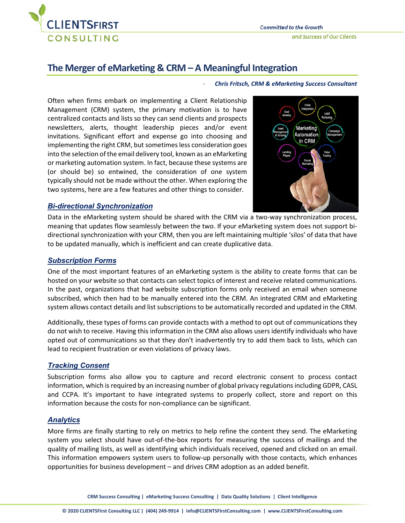

# **The Merger of eMarketing & CRM – A Meaningful Integration**

#### - *Chris Fritsch, CRM & eMarketing Success Consultant*

Often when firms embark on implementing a Client Relationship Management (CRM) system, the primary motivation is to have centralized contacts and lists so they can send clients and prospects newsletters, alerts, thought leadership pieces and/or event invitations. Significant effort and expense go into choosing and implementing the right CRM, but sometimes less consideration goes into the selection of the email delivery tool, known as an eMarketing or marketing automation system. In fact, because these systems are (or should be) so entwined, the consideration of one system typically should not be made without the other. When exploring the two systems, here are a few features and other things to consider.



## *Bi-directional Synchronization*

Data in the eMarketing system should be shared with the CRM via a two-way synchronization process, meaning that updates flow seamlessly between the two. If your eMarketing system does not support bidirectional synchronization with your CRM, then you are left maintaining multiple 'silos' of data that have to be updated manually, which is inefficient and can create duplicative data.

## *Subscription Forms*

One of the most important features of an eMarketing system is the ability to create forms that can be hosted on your website so that contacts can select topics of interest and receive related communications. In the past, organizations that had website subscription forms only received an email when someone subscribed, which then had to be manually entered into the CRM. An integrated CRM and eMarketing system allows contact details and list subscriptions to be automatically recorded and updated in the CRM.

Additionally, these types of forms can provide contacts with a method to opt out of communications they do not wish to receive. Having this information in the CRM also allows users identify individuals who have opted out of communications so that they don't inadvertently try to add them back to lists, which can lead to recipient frustration or even violations of privacy laws.

#### *Tracking Consent*

Subscription forms also allow you to capture and record electronic consent to process contact information, which is required by an increasing number of global privacy regulations including GDPR, CASL and CCPA. It's important to have integrated systems to properly collect, store and report on this information because the costs for non-compliance can be significant.

## *Analytics*

More firms are finally starting to rely on metrics to help refine the content they send. The eMarketing system you select should have out-of-the-box reports for measuring the success of mailings and the quality of mailing lists, as well as identifying which individuals received, opened and clicked on an email. This information empowers system users to follow-up personally with those contacts, which enhances opportunities for business development – and drives CRM adoption as an added benefit.